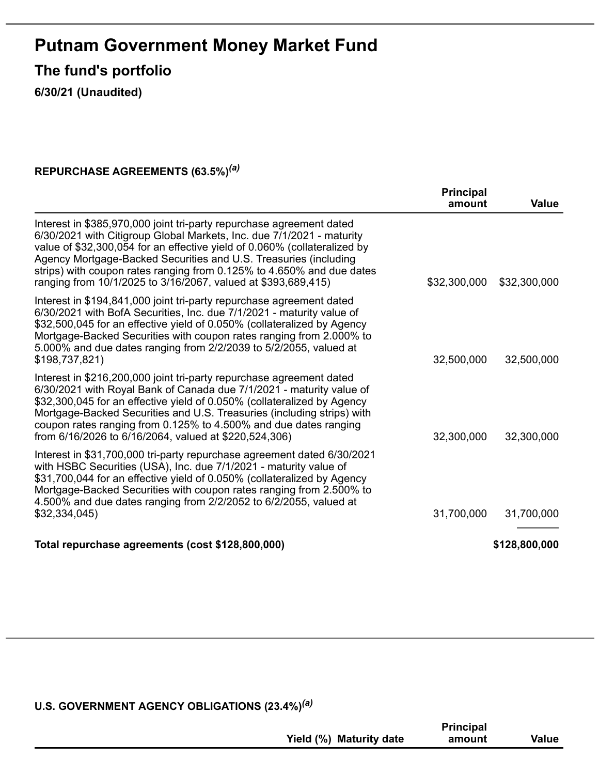# **Putnam Government Money Market Fund**

**The fund's portfolio**

**6/30/21 (Unaudited)**

#### **REPURCHASE AGREEMENTS (63.5%)** *(a)*

|                                                                                                                                                                                                                                                                                                                                                                                                                                          | <b>Principal</b><br>amount | <b>Value</b>  |
|------------------------------------------------------------------------------------------------------------------------------------------------------------------------------------------------------------------------------------------------------------------------------------------------------------------------------------------------------------------------------------------------------------------------------------------|----------------------------|---------------|
| Interest in \$385,970,000 joint tri-party repurchase agreement dated<br>6/30/2021 with Citigroup Global Markets, Inc. due 7/1/2021 - maturity<br>value of \$32,300,054 for an effective yield of 0.060% (collateralized by<br>Agency Mortgage-Backed Securities and U.S. Treasuries (including<br>strips) with coupon rates ranging from 0.125% to 4.650% and due dates<br>ranging from 10/1/2025 to 3/16/2067, valued at \$393,689,415) | \$32,300,000               | \$32,300,000  |
| Interest in \$194,841,000 joint tri-party repurchase agreement dated<br>6/30/2021 with BofA Securities, Inc. due 7/1/2021 - maturity value of<br>\$32,500,045 for an effective yield of 0.050% (collateralized by Agency<br>Mortgage-Backed Securities with coupon rates ranging from 2.000% to<br>5.000% and due dates ranging from 2/2/2039 to 5/2/2055, valued at<br>\$198,737,821)                                                   | 32,500,000                 | 32,500,000    |
| Interest in \$216,200,000 joint tri-party repurchase agreement dated<br>6/30/2021 with Royal Bank of Canada due 7/1/2021 - maturity value of<br>\$32,300,045 for an effective yield of 0.050% (collateralized by Agency<br>Mortgage-Backed Securities and U.S. Treasuries (including strips) with<br>coupon rates ranging from 0.125% to 4.500% and due dates ranging<br>from 6/16/2026 to 6/16/2064, valued at \$220,524,306)           | 32,300,000                 | 32,300,000    |
| Interest in \$31,700,000 tri-party repurchase agreement dated 6/30/2021<br>with HSBC Securities (USA), Inc. due 7/1/2021 - maturity value of<br>\$31,700,044 for an effective yield of 0.050% (collateralized by Agency<br>Mortgage-Backed Securities with coupon rates ranging from 2.500% to<br>4.500% and due dates ranging from 2/2/2052 to 6/2/2055, valued at<br>\$32,334,045)                                                     | 31,700,000                 | 31,700,000    |
| Total repurchase agreements (cost \$128,800,000)                                                                                                                                                                                                                                                                                                                                                                                         |                            | \$128,800,000 |

#### **U.S. GOVERNMENT AGENCY OBLIGATIONS (23.4%)** *(a)*

|                         | <b>Principal</b> |              |
|-------------------------|------------------|--------------|
| Yield (%) Maturity date | amount           | <b>Value</b> |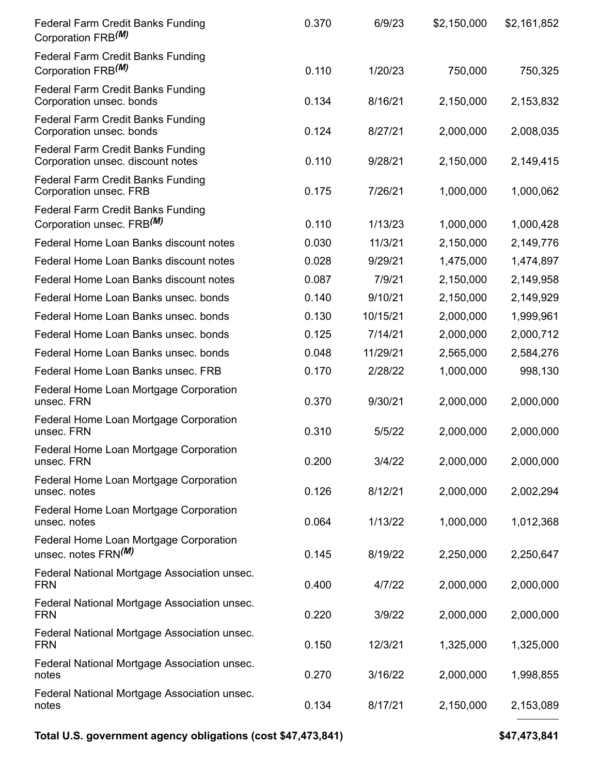| <b>Federal Farm Credit Banks Funding</b><br>Corporation FRB <sup>(M)</sup>        | 0.370 | 6/9/23   | \$2,150,000 | \$2,161,852 |
|-----------------------------------------------------------------------------------|-------|----------|-------------|-------------|
| <b>Federal Farm Credit Banks Funding</b><br>Corporation FRB <sup>(M)</sup>        | 0.110 | 1/20/23  | 750,000     | 750,325     |
| <b>Federal Farm Credit Banks Funding</b><br>Corporation unsec. bonds              | 0.134 | 8/16/21  | 2,150,000   | 2,153,832   |
| <b>Federal Farm Credit Banks Funding</b><br>Corporation unsec. bonds              | 0.124 | 8/27/21  | 2,000,000   | 2,008,035   |
| <b>Federal Farm Credit Banks Funding</b><br>Corporation unsec. discount notes     | 0.110 | 9/28/21  | 2,150,000   | 2,149,415   |
| <b>Federal Farm Credit Banks Funding</b><br>Corporation unsec. FRB                | 0.175 | 7/26/21  | 1,000,000   | 1,000,062   |
| <b>Federal Farm Credit Banks Funding</b><br>Corporation unsec. FRB <sup>(M)</sup> | 0.110 | 1/13/23  | 1,000,000   | 1,000,428   |
| Federal Home Loan Banks discount notes                                            | 0.030 | 11/3/21  | 2,150,000   | 2,149,776   |
| Federal Home Loan Banks discount notes                                            | 0.028 | 9/29/21  | 1,475,000   | 1,474,897   |
| Federal Home Loan Banks discount notes                                            | 0.087 | 7/9/21   | 2,150,000   | 2,149,958   |
| Federal Home Loan Banks unsec. bonds                                              | 0.140 | 9/10/21  | 2,150,000   | 2,149,929   |
| Federal Home Loan Banks unsec. bonds                                              | 0.130 | 10/15/21 | 2,000,000   | 1,999,961   |
| Federal Home Loan Banks unsec. bonds                                              | 0.125 | 7/14/21  | 2,000,000   | 2,000,712   |
| Federal Home Loan Banks unsec. bonds                                              | 0.048 | 11/29/21 | 2,565,000   | 2,584,276   |
| Federal Home Loan Banks unsec. FRB                                                | 0.170 | 2/28/22  | 1,000,000   | 998,130     |
| Federal Home Loan Mortgage Corporation<br>unsec. FRN                              | 0.370 | 9/30/21  | 2,000,000   | 2,000,000   |
| Federal Home Loan Mortgage Corporation<br>unsec. FRN                              | 0.310 | 5/5/22   | 2,000,000   | 2,000,000   |
| Federal Home Loan Mortgage Corporation<br>unsec. FRN                              | 0.200 | 3/4/22   | 2,000,000   | 2,000,000   |
| Federal Home Loan Mortgage Corporation<br>unsec. notes                            | 0.126 | 8/12/21  | 2,000,000   | 2,002,294   |
| Federal Home Loan Mortgage Corporation<br>unsec. notes                            | 0.064 | 1/13/22  | 1,000,000   | 1,012,368   |
| Federal Home Loan Mortgage Corporation<br>unsec. notes FRN(M)                     | 0.145 | 8/19/22  | 2,250,000   | 2,250,647   |
| Federal National Mortgage Association unsec.<br><b>FRN</b>                        | 0.400 | 4/7/22   | 2,000,000   | 2,000,000   |
| Federal National Mortgage Association unsec.<br><b>FRN</b>                        | 0.220 | 3/9/22   | 2,000,000   | 2,000,000   |
| Federal National Mortgage Association unsec.<br><b>FRN</b>                        | 0.150 | 12/3/21  | 1,325,000   | 1,325,000   |
| Federal National Mortgage Association unsec.<br>notes                             | 0.270 | 3/16/22  | 2,000,000   | 1,998,855   |
| Federal National Mortgage Association unsec.<br>notes                             | 0.134 | 8/17/21  | 2,150,000   | 2,153,089   |

**Total U.S. government agency obligations (cost \$47,473,841) \$47,473,841**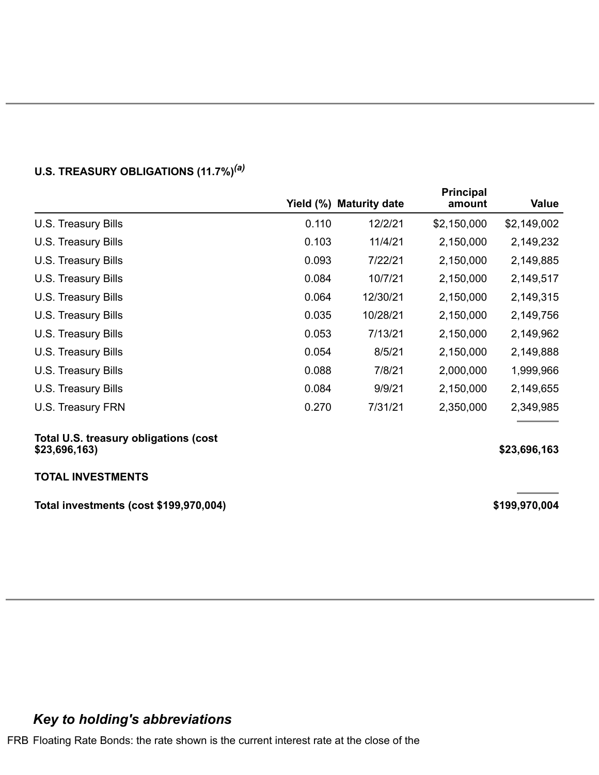|                                                        |       | Yield (%) Maturity date | <b>Principal</b><br>amount | Value         |
|--------------------------------------------------------|-------|-------------------------|----------------------------|---------------|
| U.S. Treasury Bills                                    | 0.110 | 12/2/21                 | \$2,150,000                | \$2,149,002   |
| U.S. Treasury Bills                                    | 0.103 | 11/4/21                 | 2,150,000                  | 2,149,232     |
| U.S. Treasury Bills                                    | 0.093 | 7/22/21                 | 2,150,000                  | 2,149,885     |
| U.S. Treasury Bills                                    | 0.084 | 10/7/21                 | 2,150,000                  | 2,149,517     |
| U.S. Treasury Bills                                    | 0.064 | 12/30/21                | 2,150,000                  | 2,149,315     |
| U.S. Treasury Bills                                    | 0.035 | 10/28/21                | 2,150,000                  | 2,149,756     |
| U.S. Treasury Bills                                    | 0.053 | 7/13/21                 | 2,150,000                  | 2,149,962     |
| U.S. Treasury Bills                                    | 0.054 | 8/5/21                  | 2,150,000                  | 2,149,888     |
| U.S. Treasury Bills                                    | 0.088 | 7/8/21                  | 2,000,000                  | 1,999,966     |
| U.S. Treasury Bills                                    | 0.084 | 9/9/21                  | 2,150,000                  | 2,149,655     |
| U.S. Treasury FRN                                      | 0.270 | 7/31/21                 | 2,350,000                  | 2,349,985     |
| Total U.S. treasury obligations (cost<br>\$23,696,163) |       |                         |                            | \$23,696,163  |
| <b>TOTAL INVESTMENTS</b>                               |       |                         |                            |               |
| Total investments (cost \$199,970,004)                 |       |                         |                            | \$199,970,004 |

#### **U.S. TREASURY OBLIGATIONS (11.7%)** *(a)*

## *Key to holding's abbreviations*

FRB Floating Rate Bonds: the rate shown is the current interest rate at the close of the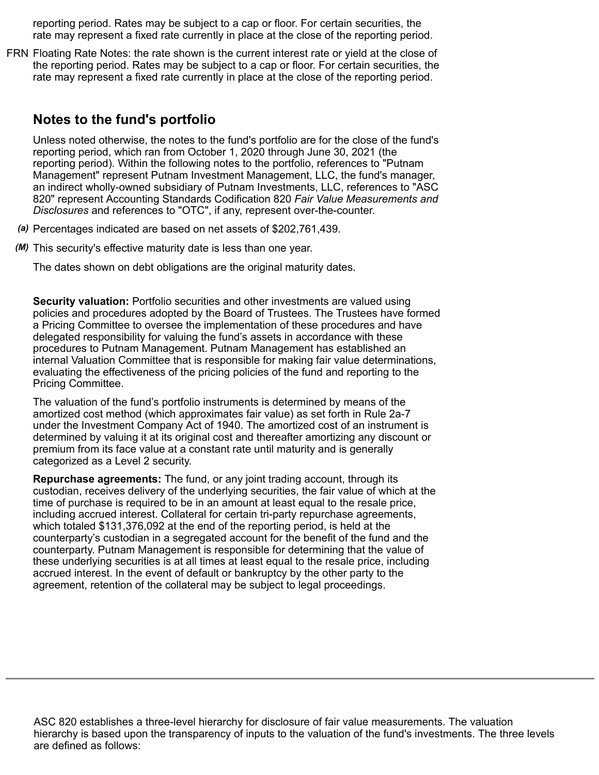reporting period. Rates may be subject to a cap or floor. For certain securities, the rate may represent a fixed rate currently in place at the close of the reporting period.

FRN Floating Rate Notes: the rate shown is the current interest rate or yield at the close of the reporting period. Rates may be subject to a cap or floor. For certain securities, the rate may represent a fixed rate currently in place at the close of the reporting period.

### **Notes to the fund's portfolio**

Unless noted otherwise, the notes to the fund's portfolio are for the close of the fund's reporting period, which ran from October 1, 2020 through June 30, 2021 (the reporting period). Within the following notes to the portfolio, references to "Putnam Management" represent Putnam Investment Management, LLC, the fund's manager, an indirect wholly-owned subsidiary of Putnam Investments, LLC, references to "ASC 820" represent Accounting Standards Codification 820 *Fair Value Measurements and Disclosures* and references to "OTC", if any, represent over-the-counter.

- *(a)* Percentages indicated are based on net assets of \$202,761,439.
- *(M)* This security's effective maturity date is less than one year.

The dates shown on debt obligations are the original maturity dates.

**Security valuation:** Portfolio securities and other investments are valued using policies and procedures adopted by the Board of Trustees. The Trustees have formed a Pricing Committee to oversee the implementation of these procedures and have delegated responsibility for valuing the fund's assets in accordance with these procedures to Putnam Management. Putnam Management has established an internal Valuation Committee that is responsible for making fair value determinations, evaluating the effectiveness of the pricing policies of the fund and reporting to the Pricing Committee.

The valuation of the fund's portfolio instruments is determined by means of the amortized cost method (which approximates fair value) as set forth in Rule 2a-7 under the Investment Company Act of 1940. The amortized cost of an instrument is determined by valuing it at its original cost and thereafter amortizing any discount or premium from its face value at a constant rate until maturity and is generally categorized as a Level 2 security.

**Repurchase agreements:** The fund, or any joint trading account, through its custodian, receives delivery of the underlying securities, the fair value of which at the time of purchase is required to be in an amount at least equal to the resale price, including accrued interest. Collateral for certain tri-party repurchase agreements, which totaled \$131,376,092 at the end of the reporting period, is held at the counterparty's custodian in a segregated account for the benefit of the fund and the counterparty. Putnam Management is responsible for determining that the value of these underlying securities is at all times at least equal to the resale price, including accrued interest. In the event of default or bankruptcy by the other party to the agreement, retention of the collateral may be subject to legal proceedings.

ASC 820 establishes a three-level hierarchy for disclosure of fair value measurements. The valuation hierarchy is based upon the transparency of inputs to the valuation of the fund's investments. The three levels are defined as follows: